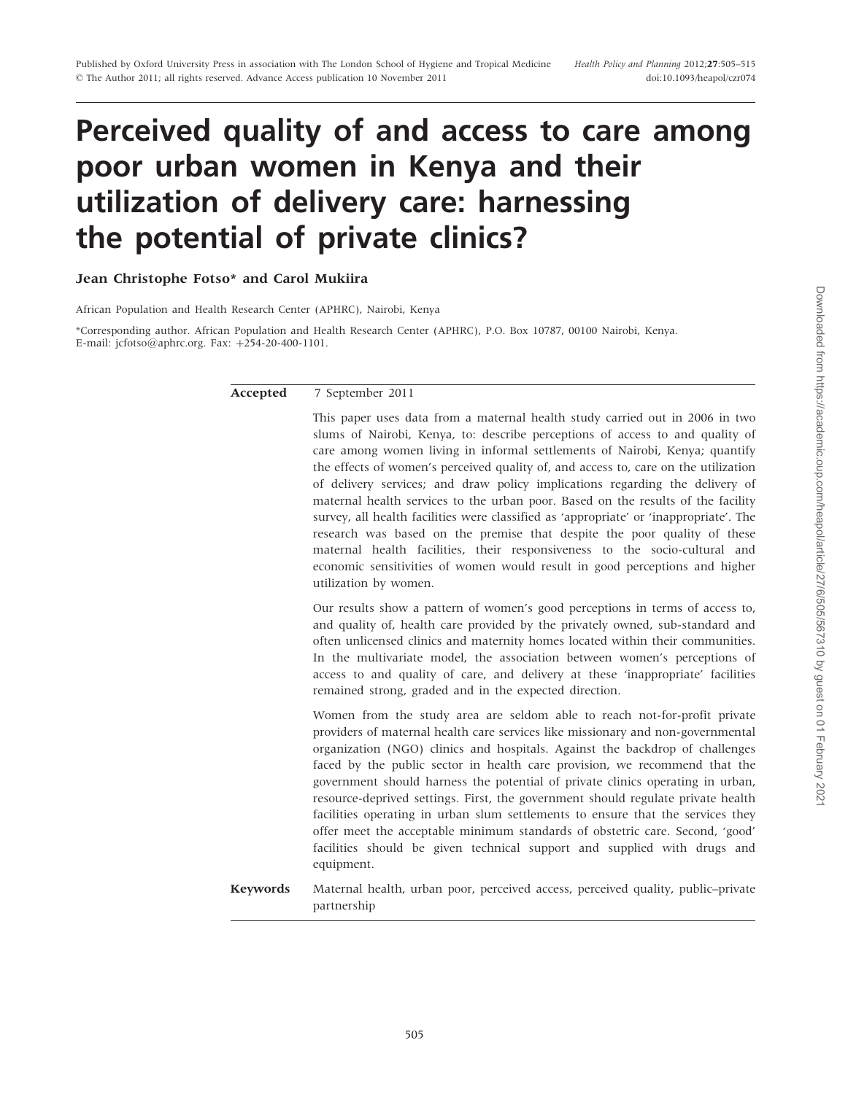# Perceived quality of and access to care among poor urban women in Kenya and their utilization of delivery care: harnessing the potential of private clinics?

# Jean Christophe Fotso\* and Carol Mukiira

African Population and Health Research Center (APHRC), Nairobi, Kenya

\*Corresponding author. African Population and Health Research Center (APHRC), P.O. Box 10787, 00100 Nairobi, Kenya. E-mail: jcfotso@aphrc.org. Fax:  $+254-20-400-1101$ .

Accepted 7 September 2011

This paper uses data from a maternal health study carried out in 2006 in two slums of Nairobi, Kenya, to: describe perceptions of access to and quality of care among women living in informal settlements of Nairobi, Kenya; quantify the effects of women's perceived quality of, and access to, care on the utilization of delivery services; and draw policy implications regarding the delivery of maternal health services to the urban poor. Based on the results of the facility survey, all health facilities were classified as 'appropriate' or 'inappropriate'. The research was based on the premise that despite the poor quality of these maternal health facilities, their responsiveness to the socio-cultural and economic sensitivities of women would result in good perceptions and higher utilization by women.

Our results show a pattern of women's good perceptions in terms of access to, and quality of, health care provided by the privately owned, sub-standard and often unlicensed clinics and maternity homes located within their communities. In the multivariate model, the association between women's perceptions of access to and quality of care, and delivery at these 'inappropriate' facilities remained strong, graded and in the expected direction.

Women from the study area are seldom able to reach not-for-profit private providers of maternal health care services like missionary and non-governmental organization (NGO) clinics and hospitals. Against the backdrop of challenges faced by the public sector in health care provision, we recommend that the government should harness the potential of private clinics operating in urban, resource-deprived settings. First, the government should regulate private health facilities operating in urban slum settlements to ensure that the services they offer meet the acceptable minimum standards of obstetric care. Second, 'good' facilities should be given technical support and supplied with drugs and equipment.

Keywords Maternal health, urban poor, perceived access, perceived quality, public–private partnership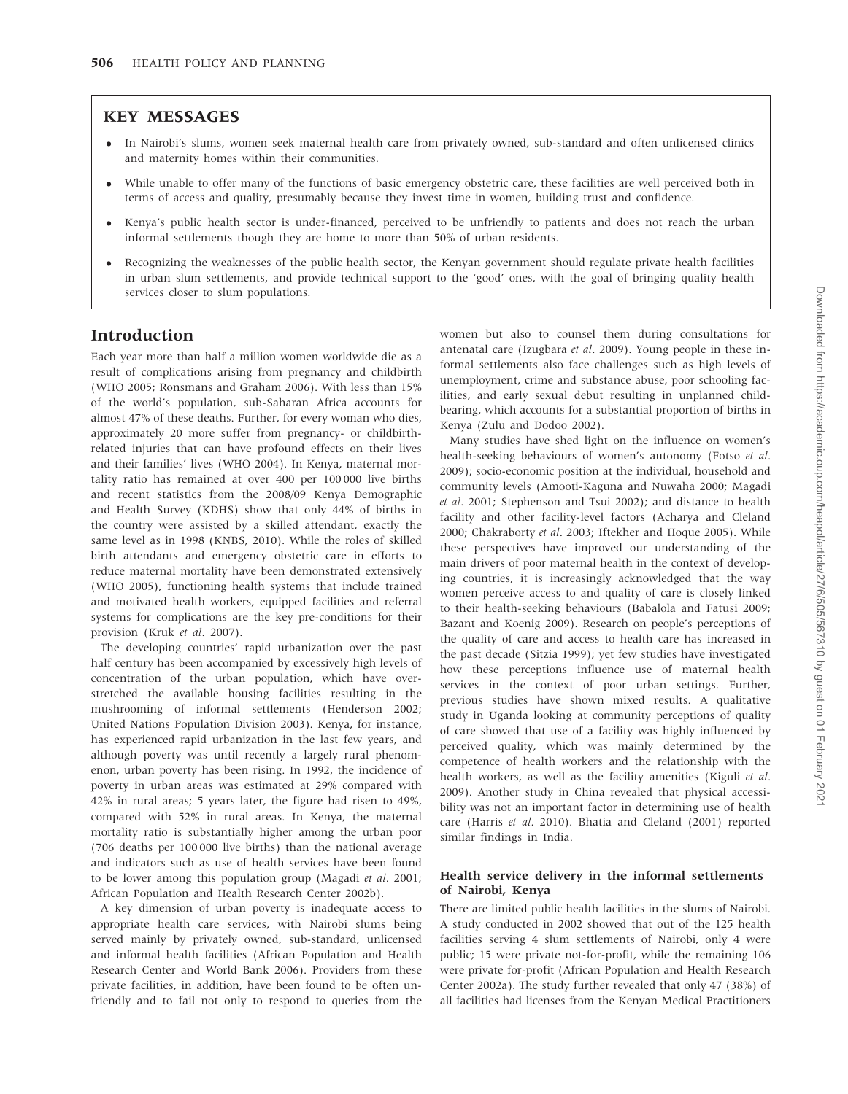## KEY MESSAGES

- $\bullet$  In Nairobi's slums, women seek maternal health care from privately owned, sub-standard and often unlicensed clinics and maternity homes within their communities.
- $\bullet$  While unable to offer many of the functions of basic emergency obstetric care, these facilities are well perceived both in terms of access and quality, presumably because they invest time in women, building trust and confidence.
- $\bullet$  Kenya's public health sector is under-financed, perceived to be unfriendly to patients and does not reach the urban informal settlements though they are home to more than 50% of urban residents.
- $\bullet$  Recognizing the weaknesses of the public health sector, the Kenyan government should regulate private health facilities in urban slum settlements, and provide technical support to the 'good' ones, with the goal of bringing quality health services closer to slum populations.

## Introduction

Each year more than half a million women worldwide die as a result of complications arising from pregnancy and childbirth [\(WHO 2005; Ronsmans and Graham 2006\)](#page-9-0). With less than 15% of the world's population, sub-Saharan Africa accounts for almost 47% of these deaths. Further, for every woman who dies, approximately 20 more suffer from pregnancy- or childbirthrelated injuries that can have profound effects on their lives and their families' lives ([WHO 2004\)](#page-9-0). In Kenya, maternal mortality ratio has remained at over 400 per 100 000 live births and recent statistics from the 2008/09 Kenya Demographic and Health Survey (KDHS) show that only 44% of births in the country were assisted by a skilled attendant, exactly the same level as in 1998 ([KNBS, 2010](#page-9-0)). While the roles of skilled birth attendants and emergency obstetric care in efforts to reduce maternal mortality have been demonstrated extensively [\(WHO 2005](#page-9-0)), functioning health systems that include trained and motivated health workers, equipped facilities and referral systems for complications are the key pre-conditions for their provision (Kruk et al[. 2007\)](#page-9-0).

The developing countries' rapid urbanization over the past half century has been accompanied by excessively high levels of concentration of the urban population, which have overstretched the available housing facilities resulting in the mushrooming of informal settlements [\(Henderson 2002](#page-9-0); [United Nations Population Division 2003](#page-9-0)). Kenya, for instance, has experienced rapid urbanization in the last few years, and although poverty was until recently a largely rural phenomenon, urban poverty has been rising. In 1992, the incidence of poverty in urban areas was estimated at 29% compared with 42% in rural areas; 5 years later, the figure had risen to 49%, compared with 52% in rural areas. In Kenya, the maternal mortality ratio is substantially higher among the urban poor (706 deaths per 100 000 live births) than the national average and indicators such as use of health services have been found to be lower among this population group ([Magadi](#page-9-0) et al. 2001; [African Population and Health Research Center 2002b\)](#page-8-0).

A key dimension of urban poverty is inadequate access to appropriate health care services, with Nairobi slums being served mainly by privately owned, sub-standard, unlicensed and informal health facilities [\(African Population and Health](#page-8-0) [Research Center and World Bank 2006\)](#page-8-0). Providers from these private facilities, in addition, have been found to be often unfriendly and to fail not only to respond to queries from the

women but also to counsel them during consultations for antenatal care ([Izugbara](#page-9-0) et al. 2009). Young people in these informal settlements also face challenges such as high levels of unemployment, crime and substance abuse, poor schooling facilities, and early sexual debut resulting in unplanned childbearing, which accounts for a substantial proportion of births in Kenya [\(Zulu and Dodoo 2002\)](#page-9-0).

Many studies have shed light on the influence on women's health-seeking behaviours of women's autonomy ([Fotso](#page-9-0) et al. [2009](#page-9-0)); socio-economic position at the individual, household and community levels ([Amooti-Kaguna and Nuwaha 2000](#page-8-0); [Magadi](#page-9-0) et al[. 2001](#page-9-0); [Stephenson and Tsui 2002](#page-9-0)); and distance to health facility and other facility-level factors ([Acharya and Cleland](#page-8-0) [2000](#page-8-0); [Chakraborty](#page-9-0) et al. 2003; [Iftekher and Hoque 2005](#page-9-0)). While these perspectives have improved our understanding of the main drivers of poor maternal health in the context of developing countries, it is increasingly acknowledged that the way women perceive access to and quality of care is closely linked to their health-seeking behaviours ([Babalola and Fatusi 2009](#page-8-0); [Bazant and Koenig 2009\)](#page-8-0). Research on people's perceptions of the quality of care and access to health care has increased in the past decade ([Sitzia 1999\)](#page-9-0); yet few studies have investigated how these perceptions influence use of maternal health services in the context of poor urban settings. Further, previous studies have shown mixed results. A qualitative study in Uganda looking at community perceptions of quality of care showed that use of a facility was highly influenced by perceived quality, which was mainly determined by the competence of health workers and the relationship with the health workers, as well as the facility amenities ([Kiguli](#page-9-0) et al. [2009](#page-9-0)). Another study in China revealed that physical accessibility was not an important factor in determining use of health care (Harris et al[. 2010\)](#page-9-0). [Bhatia and Cleland \(2001\)](#page-8-0) reported similar findings in India.

## Health service delivery in the informal settlements of Nairobi, Kenya

There are limited public health facilities in the slums of Nairobi. A study conducted in 2002 showed that out of the 125 health facilities serving 4 slum settlements of Nairobi, only 4 were public; 15 were private not-for-profit, while the remaining 106 were private for-profit ([African Population and Health Research](#page-8-0) [Center 2002a\)](#page-8-0). The study further revealed that only 47 (38%) of all facilities had licenses from the Kenyan Medical Practitioners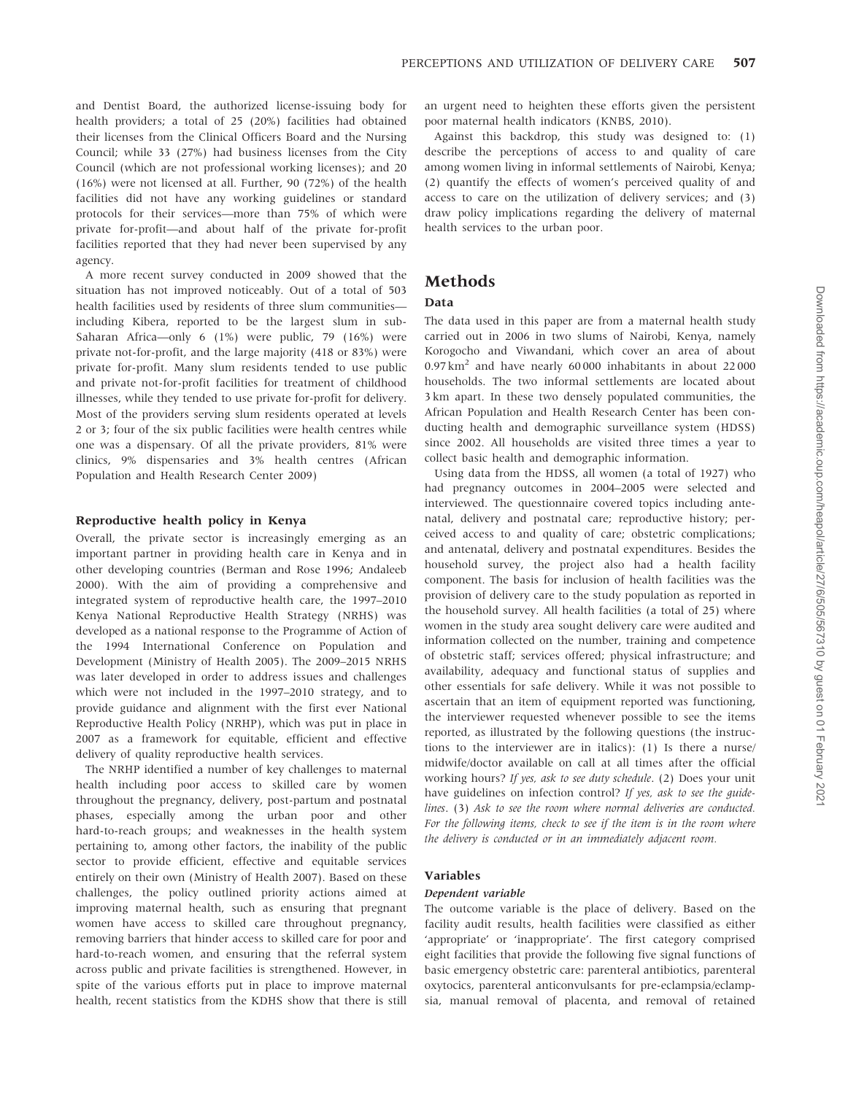and Dentist Board, the authorized license-issuing body for health providers; a total of 25 (20%) facilities had obtained their licenses from the Clinical Officers Board and the Nursing Council; while 33 (27%) had business licenses from the City Council (which are not professional working licenses); and 20 (16%) were not licensed at all. Further, 90 (72%) of the health facilities did not have any working guidelines or standard protocols for their services—more than 75% of which were private for-profit—and about half of the private for-profit facilities reported that they had never been supervised by any agency.

A more recent survey conducted in 2009 showed that the situation has not improved noticeably. Out of a total of 503 health facilities used by residents of three slum communities including Kibera, reported to be the largest slum in sub-Saharan Africa—only 6 (1%) were public, 79 (16%) were private not-for-profit, and the large majority (418 or 83%) were private for-profit. Many slum residents tended to use public and private not-for-profit facilities for treatment of childhood illnesses, while they tended to use private for-profit for delivery. Most of the providers serving slum residents operated at levels 2 or 3; four of the six public facilities were health centres while one was a dispensary. Of all the private providers, 81% were clinics, 9% dispensaries and 3% health centres ([African](#page-8-0) [Population and Health Research Center 2009\)](#page-8-0)

### Reproductive health policy in Kenya

Overall, the private sector is increasingly emerging as an important partner in providing health care in Kenya and in other developing countries [\(Berman and Rose 1996; Andaleeb](#page-8-0) [2000](#page-8-0)). With the aim of providing a comprehensive and integrated system of reproductive health care, the 1997–2010 Kenya National Reproductive Health Strategy (NRHS) was developed as a national response to the Programme of Action of the 1994 International Conference on Population and Development [\(Ministry of Health 2005](#page-9-0)). The 2009–2015 NRHS was later developed in order to address issues and challenges which were not included in the 1997–2010 strategy, and to provide guidance and alignment with the first ever National Reproductive Health Policy (NRHP), which was put in place in 2007 as a framework for equitable, efficient and effective delivery of quality reproductive health services.

The NRHP identified a number of key challenges to maternal health including poor access to skilled care by women throughout the pregnancy, delivery, post-partum and postnatal phases, especially among the urban poor and other hard-to-reach groups; and weaknesses in the health system pertaining to, among other factors, the inability of the public sector to provide efficient, effective and equitable services entirely on their own [\(Ministry of Health 2007](#page-9-0)). Based on these challenges, the policy outlined priority actions aimed at improving maternal health, such as ensuring that pregnant women have access to skilled care throughout pregnancy, removing barriers that hinder access to skilled care for poor and hard-to-reach women, and ensuring that the referral system across public and private facilities is strengthened. However, in spite of the various efforts put in place to improve maternal health, recent statistics from the KDHS show that there is still

an urgent need to heighten these efforts given the persistent poor maternal health indicators ([KNBS, 2010\)](#page-9-0).

Against this backdrop, this study was designed to: (1) describe the perceptions of access to and quality of care among women living in informal settlements of Nairobi, Kenya; (2) quantify the effects of women's perceived quality of and access to care on the utilization of delivery services; and (3) draw policy implications regarding the delivery of maternal health services to the urban poor.

## **Methods**

#### Data

The data used in this paper are from a maternal health study carried out in 2006 in two slums of Nairobi, Kenya, namely Korogocho and Viwandani, which cover an area of about  $0.97 \text{ km}^2$  and have nearly 60000 inhabitants in about 22000 households. The two informal settlements are located about 3 km apart. In these two densely populated communities, the African Population and Health Research Center has been conducting health and demographic surveillance system (HDSS) since 2002. All households are visited three times a year to collect basic health and demographic information.

Using data from the HDSS, all women (a total of 1927) who had pregnancy outcomes in 2004–2005 were selected and interviewed. The questionnaire covered topics including antenatal, delivery and postnatal care; reproductive history; perceived access to and quality of care; obstetric complications; and antenatal, delivery and postnatal expenditures. Besides the household survey, the project also had a health facility component. The basis for inclusion of health facilities was the provision of delivery care to the study population as reported in the household survey. All health facilities (a total of 25) where women in the study area sought delivery care were audited and information collected on the number, training and competence of obstetric staff; services offered; physical infrastructure; and availability, adequacy and functional status of supplies and other essentials for safe delivery. While it was not possible to ascertain that an item of equipment reported was functioning, the interviewer requested whenever possible to see the items reported, as illustrated by the following questions (the instructions to the interviewer are in italics): (1) Is there a nurse/ midwife/doctor available on call at all times after the official working hours? If yes, ask to see duty schedule. (2) Does your unit have guidelines on infection control? If yes, ask to see the guidelines. (3) Ask to see the room where normal deliveries are conducted. For the following items, check to see if the item is in the room where the delivery is conducted or in an immediately adjacent room.

## Variables

#### Dependent variable

The outcome variable is the place of delivery. Based on the facility audit results, health facilities were classified as either 'appropriate' or 'inappropriate'. The first category comprised eight facilities that provide the following five signal functions of basic emergency obstetric care: parenteral antibiotics, parenteral oxytocics, parenteral anticonvulsants for pre-eclampsia/eclampsia, manual removal of placenta, and removal of retained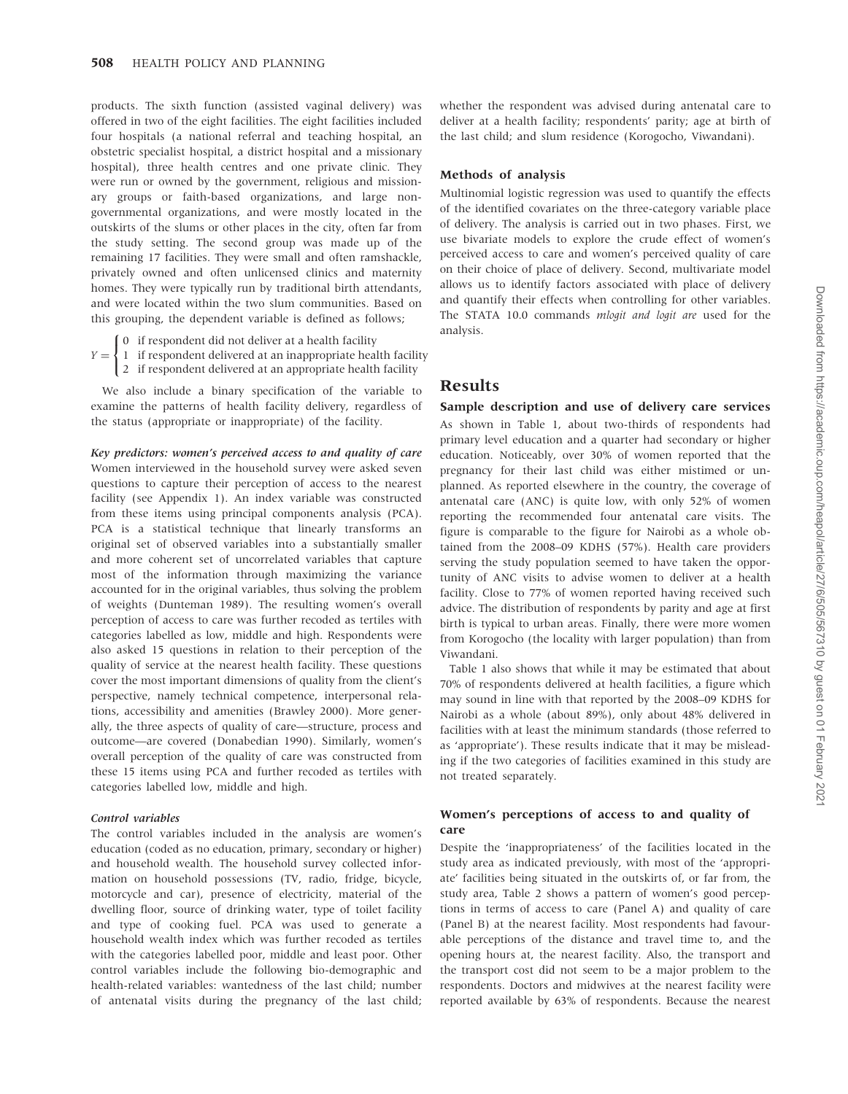products. The sixth function (assisted vaginal delivery) was offered in two of the eight facilities. The eight facilities included four hospitals (a national referral and teaching hospital, an obstetric specialist hospital, a district hospital and a missionary hospital), three health centres and one private clinic. They were run or owned by the government, religious and missionary groups or faith-based organizations, and large nongovernmental organizations, and were mostly located in the outskirts of the slums or other places in the city, often far from the study setting. The second group was made up of the remaining 17 facilities. They were small and often ramshackle, privately owned and often unlicensed clinics and maternity homes. They were typically run by traditional birth attendants, and were located within the two slum communities. Based on this grouping, the dependent variable is defined as follows;

- 0 if respondent did not deliver at a health facility 8
- $Y = \begin{cases} 0 & \text{if} \text{respondent} \text{d} \text{d} \text{not} \text{d} \text{d} \text{not} \text{d} \text{and} \\ 1 & \text{if} \text{respondent} \text{d} \text{e} \text{divered} \text{d} \text{d} \text{in } \text{inappropriate} \text{health} \text{facility} \end{cases}$ 2 if respondent delivered at an appropriate health facility

We also include a binary specification of the variable to examine the patterns of health facility delivery, regardless of the status (appropriate or inappropriate) of the facility.

Key predictors: women's perceived access to and quality of care Women interviewed in the household survey were asked seven questions to capture their perception of access to the nearest facility (see Appendix 1). An index variable was constructed from these items using principal components analysis (PCA). PCA is a statistical technique that linearly transforms an original set of observed variables into a substantially smaller and more coherent set of uncorrelated variables that capture most of the information through maximizing the variance accounted for in the original variables, thus solving the problem of weights ([Dunteman 1989](#page-9-0)). The resulting women's overall perception of access to care was further recoded as tertiles with categories labelled as low, middle and high. Respondents were also asked 15 questions in relation to their perception of the quality of service at the nearest health facility. These questions cover the most important dimensions of quality from the client's perspective, namely technical competence, interpersonal relations, accessibility and amenities ([Brawley 2000\)](#page-9-0). More generally, the three aspects of quality of care—structure, process and outcome—are covered ([Donabedian 1990\)](#page-9-0). Similarly, women's overall perception of the quality of care was constructed from these 15 items using PCA and further recoded as tertiles with categories labelled low, middle and high.

#### Control variables

The control variables included in the analysis are women's education (coded as no education, primary, secondary or higher) and household wealth. The household survey collected information on household possessions (TV, radio, fridge, bicycle, motorcycle and car), presence of electricity, material of the dwelling floor, source of drinking water, type of toilet facility and type of cooking fuel. PCA was used to generate a household wealth index which was further recoded as tertiles with the categories labelled poor, middle and least poor. Other control variables include the following bio-demographic and health-related variables: wantedness of the last child; number of antenatal visits during the pregnancy of the last child;

whether the respondent was advised during antenatal care to deliver at a health facility; respondents' parity; age at birth of the last child; and slum residence (Korogocho, Viwandani).

### Methods of analysis

Multinomial logistic regression was used to quantify the effects of the identified covariates on the three-category variable place of delivery. The analysis is carried out in two phases. First, we use bivariate models to explore the crude effect of women's perceived access to care and women's perceived quality of care on their choice of place of delivery. Second, multivariate model allows us to identify factors associated with place of delivery and quantify their effects when controlling for other variables. The STATA 10.0 commands mlogit and logit are used for the analysis.

# Results

#### Sample description and use of delivery care services

As shown in [Table 1](#page-4-0), about two-thirds of respondents had primary level education and a quarter had secondary or higher education. Noticeably, over 30% of women reported that the pregnancy for their last child was either mistimed or unplanned. As reported elsewhere in the country, the coverage of antenatal care (ANC) is quite low, with only 52% of women reporting the recommended four antenatal care visits. The figure is comparable to the figure for Nairobi as a whole obtained from the 2008–09 KDHS (57%). Health care providers serving the study population seemed to have taken the opportunity of ANC visits to advise women to deliver at a health facility. Close to 77% of women reported having received such advice. The distribution of respondents by parity and age at first birth is typical to urban areas. Finally, there were more women from Korogocho (the locality with larger population) than from Viwandani.

[Table 1](#page-4-0) also shows that while it may be estimated that about 70% of respondents delivered at health facilities, a figure which may sound in line with that reported by the 2008–09 KDHS for Nairobi as a whole (about 89%), only about 48% delivered in facilities with at least the minimum standards (those referred to as 'appropriate'). These results indicate that it may be misleading if the two categories of facilities examined in this study are not treated separately.

## Women's perceptions of access to and quality of care

Despite the 'inappropriateness' of the facilities located in the study area as indicated previously, with most of the 'appropriate' facilities being situated in the outskirts of, or far from, the study area, [Table 2](#page-5-0) shows a pattern of women's good perceptions in terms of access to care (Panel A) and quality of care (Panel B) at the nearest facility. Most respondents had favourable perceptions of the distance and travel time to, and the opening hours at, the nearest facility. Also, the transport and the transport cost did not seem to be a major problem to the respondents. Doctors and midwives at the nearest facility were reported available by 63% of respondents. Because the nearest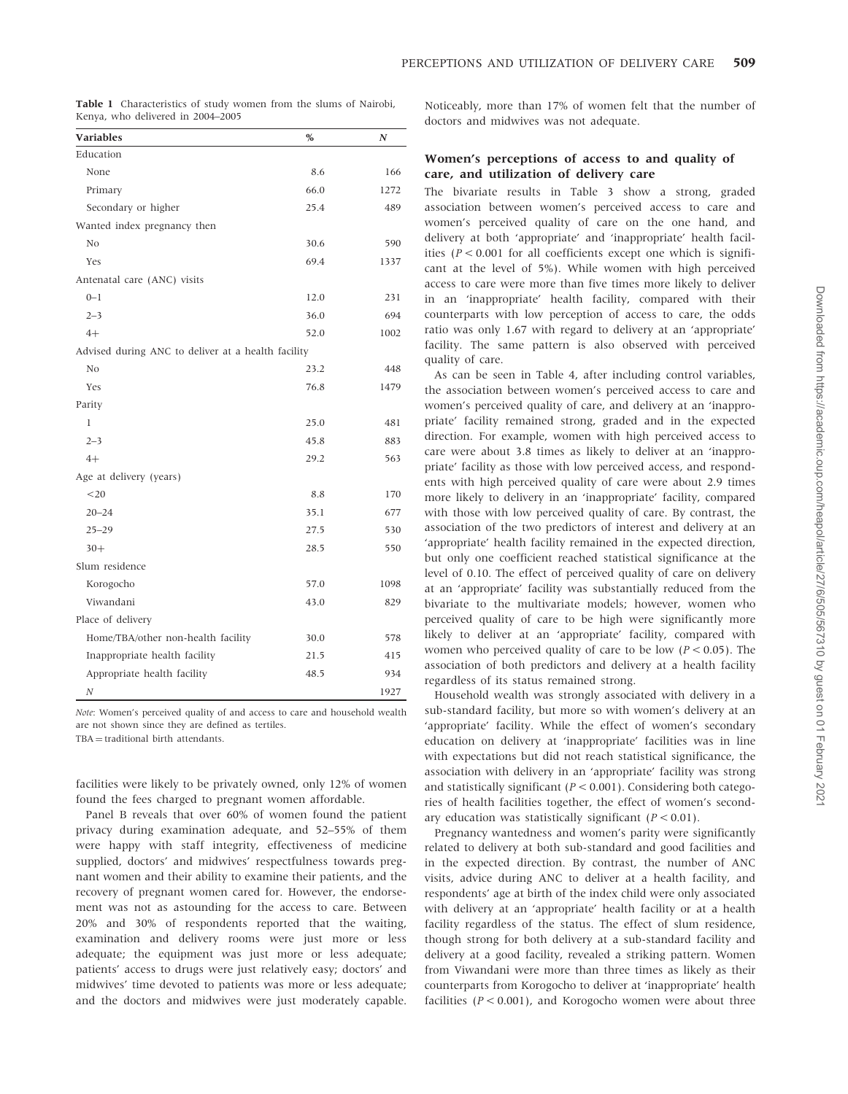| <b>Variables</b>                                   | %    | $\boldsymbol{N}$ |
|----------------------------------------------------|------|------------------|
| Education                                          |      |                  |
| None                                               | 8.6  | 166              |
| Primary                                            | 66.0 | 1272             |
| Secondary or higher                                | 25.4 | 489              |
| Wanted index pregnancy then                        |      |                  |
| N <sub>o</sub>                                     | 30.6 | 590              |
| Yes                                                | 69.4 | 1337             |
| Antenatal care (ANC) visits                        |      |                  |
| $0 - 1$                                            | 12.0 | 231              |
| $2 - 3$                                            | 36.0 | 694              |
| $^{4+}$                                            | 52.0 | 1002             |
| Advised during ANC to deliver at a health facility |      |                  |
| No                                                 | 23.2 | 448              |
| Yes                                                | 76.8 | 1479             |
| Parity                                             |      |                  |
| ı                                                  | 25.0 | 481              |
| $2 - 3$                                            | 45.8 | 883              |
| $4+$                                               | 29.2 | 563              |
| Age at delivery (years)                            |      |                  |
| $<$ 20                                             | 8.8  | 170              |
| $20 - 24$                                          | 35.1 | 677              |
| $25 - 29$                                          | 27.5 | 530              |
| $30+$                                              | 28.5 | 550              |
| Slum residence                                     |      |                  |
| Korogocho                                          | 57.0 | 1098             |
| Viwandani                                          | 43.0 | 829              |
| Place of delivery                                  |      |                  |
| Home/TBA/other non-health facility                 | 30.0 | 578              |
| Inappropriate health facility                      | 21.5 | 415              |
| Appropriate health facility                        | 48.5 | 934              |
| Ν                                                  |      | 1927             |

<span id="page-4-0"></span>Table 1 Characteristics of study women from the slums of Nairobi. Kenya, who delivered in 2004–2005

Note: Women's perceived quality of and access to care and household wealth are not shown since they are defined as tertiles.

 $TBA =$  traditional birth attendants.

facilities were likely to be privately owned, only 12% of women found the fees charged to pregnant women affordable.

Panel B reveals that over 60% of women found the patient privacy during examination adequate, and 52–55% of them were happy with staff integrity, effectiveness of medicine supplied, doctors' and midwives' respectfulness towards pregnant women and their ability to examine their patients, and the recovery of pregnant women cared for. However, the endorsement was not as astounding for the access to care. Between 20% and 30% of respondents reported that the waiting, examination and delivery rooms were just more or less adequate; the equipment was just more or less adequate; patients' access to drugs were just relatively easy; doctors' and midwives' time devoted to patients was more or less adequate; and the doctors and midwives were just moderately capable.

Noticeably, more than 17% of women felt that the number of doctors and midwives was not adequate.

## Women's perceptions of access to and quality of care, and utilization of delivery care

The bivariate results in [Table 3](#page-6-0) show a strong, graded association between women's perceived access to care and women's perceived quality of care on the one hand, and delivery at both 'appropriate' and 'inappropriate' health facilities ( $P < 0.001$  for all coefficients except one which is significant at the level of 5%). While women with high perceived access to care were more than five times more likely to deliver in an 'inappropriate' health facility, compared with their counterparts with low perception of access to care, the odds ratio was only 1.67 with regard to delivery at an 'appropriate' facility. The same pattern is also observed with perceived quality of care.

As can be seen in [Table 4,](#page-6-0) after including control variables, the association between women's perceived access to care and women's perceived quality of care, and delivery at an 'inappropriate' facility remained strong, graded and in the expected direction. For example, women with high perceived access to care were about 3.8 times as likely to deliver at an 'inappropriate' facility as those with low perceived access, and respondents with high perceived quality of care were about 2.9 times more likely to delivery in an 'inappropriate' facility, compared with those with low perceived quality of care. By contrast, the association of the two predictors of interest and delivery at an 'appropriate' health facility remained in the expected direction, but only one coefficient reached statistical significance at the level of 0.10. The effect of perceived quality of care on delivery at an 'appropriate' facility was substantially reduced from the bivariate to the multivariate models; however, women who perceived quality of care to be high were significantly more likely to deliver at an 'appropriate' facility, compared with women who perceived quality of care to be low  $(P < 0.05)$ . The association of both predictors and delivery at a health facility regardless of its status remained strong.

Household wealth was strongly associated with delivery in a sub-standard facility, but more so with women's delivery at an 'appropriate' facility. While the effect of women's secondary education on delivery at 'inappropriate' facilities was in line with expectations but did not reach statistical significance, the association with delivery in an 'appropriate' facility was strong and statistically significant ( $P < 0.001$ ). Considering both categories of health facilities together, the effect of women's secondary education was statistically significant  $(P < 0.01)$ .

Pregnancy wantedness and women's parity were significantly related to delivery at both sub-standard and good facilities and in the expected direction. By contrast, the number of ANC visits, advice during ANC to deliver at a health facility, and respondents' age at birth of the index child were only associated with delivery at an 'appropriate' health facility or at a health facility regardless of the status. The effect of slum residence, though strong for both delivery at a sub-standard facility and delivery at a good facility, revealed a striking pattern. Women from Viwandani were more than three times as likely as their counterparts from Korogocho to deliver at 'inappropriate' health facilities ( $P < 0.001$ ), and Korogocho women were about three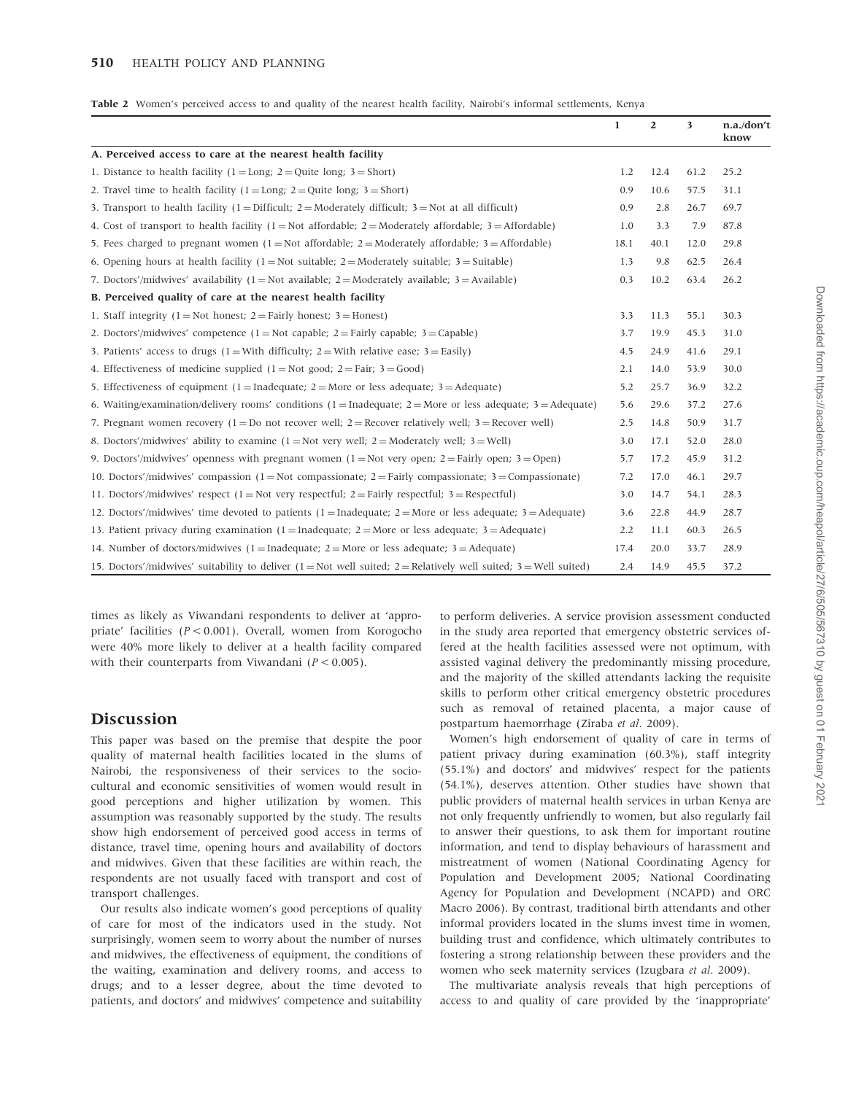<span id="page-5-0"></span>

|                                                                                                               | 1    | 2    | $\overline{\mathbf{3}}$ | n.a./don't<br>know |
|---------------------------------------------------------------------------------------------------------------|------|------|-------------------------|--------------------|
| A. Perceived access to care at the nearest health facility                                                    |      |      |                         |                    |
| 1. Distance to health facility (1 = Long; 2 = Quite long; 3 = Short)                                          | 1.2  | 12.4 | 61.2                    | 25.2               |
| 2. Travel time to health facility (1 = Long; 2 = Quite long; 3 = Short)                                       | 0.9  | 10.6 | 57.5                    | 31.1               |
| 3. Transport to health facility (1 = Difficult; 2 = Moderately difficult; 3 = Not at all difficult)           | 0.9  | 2.8  | 26.7                    | 69.7               |
| 4. Cost of transport to health facility $(1 = Not$ affordable; $2 =$ Moderately affordable; $3 =$ Affordable) | 1.0  | 3.3  | 7.9                     | 87.8               |
| 5. Fees charged to pregnant women $(1)$ = Not affordable; 2 = Moderately affordable; 3 = Affordable)          | 18.1 | 40.1 | 12.0                    | 29.8               |
| 6. Opening hours at health facility $(1 = Not suitable; 2 = Modelerately suitable; 3 = Suitable)$             | 1.3  | 9.8  | 62.5                    | 26.4               |
| 7. Doctors'/midwives' availability (1 = Not available; 2 = Moderately available; 3 = Available)               | 0.3  | 10.2 | 63.4                    | 26.2               |
| B. Perceived quality of care at the nearest health facility                                                   |      |      |                         |                    |
| 1. Staff integrity $(1 = Not$ honest; $2 = Fairly$ honest; $3 = Honor$                                        | 3.3  | 11.3 | 55.1                    | 30.3               |
| 2. Doctors'/midwives' competence (1 = Not capable; 2 = Fairly capable; 3 = Capable)                           | 3.7  | 19.9 | 45.3                    | 31.0               |
| 3. Patients' access to drugs (1=With difficulty; 2=With relative ease; 3=Easily)                              | 4.5  | 24.9 | 41.6                    | 29.1               |
| 4. Effectiveness of medicine supplied $(1 = Not good; 2 = Fair; 3 = Good)$                                    | 2.1  | 14.0 | 53.9                    | 30.0               |
| 5. Effectiveness of equipment (1 = Inadequate; 2 = More or less adequate; 3 = Adequate)                       | 5.2  | 25.7 | 36.9                    | 32.2               |
| 6. Waiting/examination/delivery rooms' conditions (1 = Inadequate; 2 = More or less adequate; 3 = Adequate)   | 5.6  | 29.6 | 37.2                    | 27.6               |
| 7. Pregnant women recovery (1 = Do not recover well; 2 = Recover relatively well; 3 = Recover well)           | 2.5  | 14.8 | 50.9                    | 31.7               |
| 8. Doctors'/midwives' ability to examine (1 = Not very well; 2 = Moderately well; 3 = Well)                   | 3.0  | 17.1 | 52.0                    | 28.0               |
| 9. Doctors'/midwives' openness with pregnant women $(1 = Not$ very open; $2 = Fairly$ open; $3 = Open$ )      | 5.7  | 17.2 | 45.9                    | 31.2               |
| 10. Doctors'/midwives' compassion (1 = Not compassionate; 2 = Fairly compassionate; 3 = Compassionate)        | 7.2  | 17.0 | 46.1                    | 29.7               |
| 11. Doctors'/midwives' respect (1 = Not very respectful; 2 = Fairly respectful; 3 = Respectful)               | 3.0  | 14.7 | 54.1                    | 28.3               |
| 12. Doctors'/midwives' time devoted to patients (1 = Inadequate; 2 = More or less adequate; 3 = Adequate)     | 3.6  | 22.8 | 44.9                    | 28.7               |
| 13. Patient privacy during examination (1 = Inadequate; 2 = More or less adequate; 3 = Adequate)              | 2.2  | 11.1 | 60.3                    | 26.5               |
| 14. Number of doctors/midwives (1 = Inadequate; 2 = More or less adequate; 3 = Adequate)                      | 17.4 | 20.0 | 33.7                    | 28.9               |
| 15. Doctors'/midwives' suitability to deliver (1=Not well suited; 2=Relatively well suited; 3=Well suited)    | 2.4  | 14.9 | 45.5                    | 37.2               |

times as likely as Viwandani respondents to deliver at 'appropriate' facilities  $(P < 0.001)$ . Overall, women from Korogocho were 40% more likely to deliver at a health facility compared with their counterparts from Viwandani  $(P < 0.005)$ .

## Discussion

This paper was based on the premise that despite the poor quality of maternal health facilities located in the slums of Nairobi, the responsiveness of their services to the sociocultural and economic sensitivities of women would result in good perceptions and higher utilization by women. This assumption was reasonably supported by the study. The results show high endorsement of perceived good access in terms of distance, travel time, opening hours and availability of doctors and midwives. Given that these facilities are within reach, the respondents are not usually faced with transport and cost of transport challenges.

Our results also indicate women's good perceptions of quality of care for most of the indicators used in the study. Not surprisingly, women seem to worry about the number of nurses and midwives, the effectiveness of equipment, the conditions of the waiting, examination and delivery rooms, and access to drugs; and to a lesser degree, about the time devoted to patients, and doctors' and midwives' competence and suitability

to perform deliveries. A service provision assessment conducted in the study area reported that emergency obstetric services offered at the health facilities assessed were not optimum, with assisted vaginal delivery the predominantly missing procedure, and the majority of the skilled attendants lacking the requisite skills to perform other critical emergency obstetric procedures such as removal of retained placenta, a major cause of postpartum haemorrhage (Ziraba et al[. 2009\)](#page-9-0).

Women's high endorsement of quality of care in terms of patient privacy during examination (60.3%), staff integrity (55.1%) and doctors' and midwives' respect for the patients (54.1%), deserves attention. Other studies have shown that public providers of maternal health services in urban Kenya are not only frequently unfriendly to women, but also regularly fail to answer their questions, to ask them for important routine information, and tend to display behaviours of harassment and mistreatment of women ([National Coordinating Agency for](#page-9-0) [Population and Development 2005; National Coordinating](#page-9-0) [Agency for Population and Development \(NCAPD\) and ORC](#page-9-0) [Macro 2006\)](#page-9-0). By contrast, traditional birth attendants and other informal providers located in the slums invest time in women, building trust and confidence, which ultimately contributes to fostering a strong relationship between these providers and the women who seek maternity services ([Izugbara](#page-9-0) et al. 2009).

The multivariate analysis reveals that high perceptions of access to and quality of care provided by the 'inappropriate'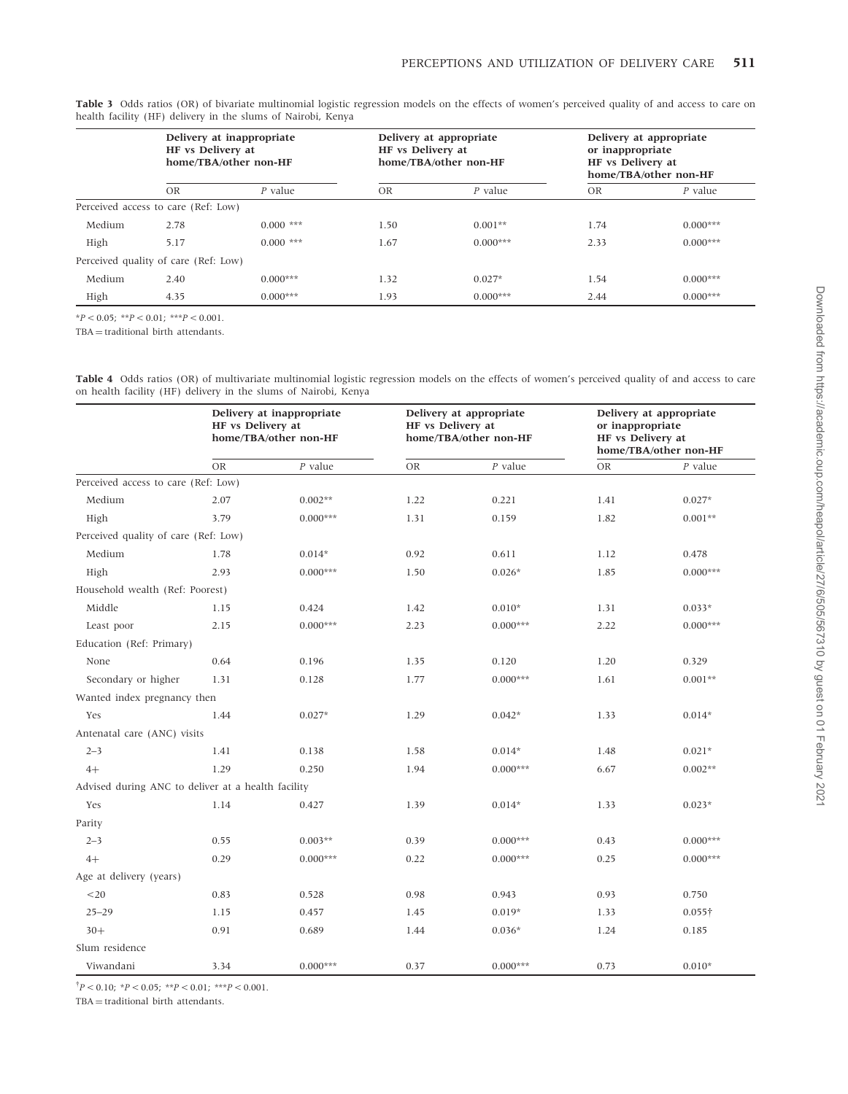|        | Delivery at inappropriate<br><b>HF</b> vs Delivery at<br>home/TBA/other non-HF |             | Delivery at appropriate<br><b>HF</b> vs Delivery at<br>home/TBA/other non-HF |            | Delivery at appropriate<br>or inappropriate<br>HF vs Delivery at<br>home/TBA/other non-HF |            |
|--------|--------------------------------------------------------------------------------|-------------|------------------------------------------------------------------------------|------------|-------------------------------------------------------------------------------------------|------------|
|        | <b>OR</b>                                                                      | P value     | OR                                                                           | P value    | <b>OR</b>                                                                                 | P value    |
|        | Perceived access to care (Ref: Low)                                            |             |                                                                              |            |                                                                                           |            |
| Medium | 2.78                                                                           | $0.000$ *** | 1.50                                                                         | $0.001**$  | 1.74                                                                                      | $0.000***$ |
| High   | 5.17                                                                           | $0.000$ *** | 1.67                                                                         | $0.000***$ | 2.33                                                                                      | $0.000***$ |
|        | Perceived quality of care (Ref: Low)                                           |             |                                                                              |            |                                                                                           |            |
| Medium | 2.40                                                                           | $0.000***$  | 1.32                                                                         | $0.027*$   | 1.54                                                                                      | $0.000***$ |
| High   | 4.35                                                                           | $0.000***$  | 1.93                                                                         | $0.000***$ | 2.44                                                                                      | $0.000***$ |

<span id="page-6-0"></span>Table 3 Odds ratios (OR) of bivariate multinomial logistic regression models on the effects of women's perceived quality of and access to care on health facility (HF) delivery in the slums of Nairobi, Kenya

 $*P < 0.05$ ;  $*P < 0.01$ ;  $*P < 0.001$ .

 $TBA =$  traditional birth attendants.

Table 4 Odds ratios (OR) of multivariate multinomial logistic regression models on the effects of women's perceived quality of and access to care on health facility (HF) delivery in the slums of Nairobi, Kenya

|                                                    | Delivery at inappropriate<br>HF vs Delivery at<br>home/TBA/other non-HF |            | Delivery at appropriate<br>HF vs Delivery at<br>home/TBA/other non-HF |            | Delivery at appropriate<br>or inappropriate<br>HF vs Delivery at<br>home/TBA/other non-HF |                |
|----------------------------------------------------|-------------------------------------------------------------------------|------------|-----------------------------------------------------------------------|------------|-------------------------------------------------------------------------------------------|----------------|
|                                                    | OR                                                                      | $P$ value  | OR                                                                    | $P$ value  | <b>OR</b>                                                                                 | $P$ value      |
| Perceived access to care (Ref: Low)                |                                                                         |            |                                                                       |            |                                                                                           |                |
| Medium                                             | 2.07                                                                    | $0.002**$  | 1.22                                                                  | 0.221      | 1.41                                                                                      | $0.027*$       |
| High                                               | 3.79                                                                    | $0.000***$ | 1.31                                                                  | 0.159      | 1.82                                                                                      | $0.001**$      |
| Perceived quality of care (Ref: Low)               |                                                                         |            |                                                                       |            |                                                                                           |                |
| Medium                                             | 1.78                                                                    | $0.014*$   | 0.92                                                                  | 0.611      | 1.12                                                                                      | 0.478          |
| High                                               | 2.93                                                                    | $0.000***$ | 1.50                                                                  | $0.026*$   | 1.85                                                                                      | $0.000***$     |
| Household wealth (Ref: Poorest)                    |                                                                         |            |                                                                       |            |                                                                                           |                |
| Middle                                             | 1.15                                                                    | 0.424      | 1.42                                                                  | $0.010*$   | 1.31                                                                                      | $0.033*$       |
| Least poor                                         | 2.15                                                                    | $0.000***$ | 2.23                                                                  | $0.000***$ | 2.22                                                                                      | $0.000***$     |
| Education (Ref: Primary)                           |                                                                         |            |                                                                       |            |                                                                                           |                |
| None                                               | 0.64                                                                    | 0.196      | 1.35                                                                  | 0.120      | 1.20                                                                                      | 0.329          |
| Secondary or higher                                | 1.31                                                                    | 0.128      | 1.77                                                                  | $0.000***$ | 1.61                                                                                      | $0.001**$      |
| Wanted index pregnancy then                        |                                                                         |            |                                                                       |            |                                                                                           |                |
| Yes                                                | 1.44                                                                    | $0.027*$   | 1.29                                                                  | $0.042*$   | 1.33                                                                                      | $0.014*$       |
| Antenatal care (ANC) visits                        |                                                                         |            |                                                                       |            |                                                                                           |                |
| $2 - 3$                                            | 1.41                                                                    | 0.138      | 1.58                                                                  | $0.014*$   | 1.48                                                                                      | $0.021*$       |
| $4+$                                               | 1.29                                                                    | 0.250      | 1.94                                                                  | $0.000***$ | 6.67                                                                                      | $0.002**$      |
| Advised during ANC to deliver at a health facility |                                                                         |            |                                                                       |            |                                                                                           |                |
| Yes                                                | 1.14                                                                    | 0.427      | 1.39                                                                  | $0.014*$   | 1.33                                                                                      | $0.023*$       |
| Parity                                             |                                                                         |            |                                                                       |            |                                                                                           |                |
| $2 - 3$                                            | 0.55                                                                    | $0.003**$  | 0.39                                                                  | $0.000***$ | 0.43                                                                                      | $0.000***$     |
| $4+$                                               | 0.29                                                                    | $0.000***$ | 0.22                                                                  | $0.000***$ | 0.25                                                                                      | $0.000***$     |
| Age at delivery (years)                            |                                                                         |            |                                                                       |            |                                                                                           |                |
| $<$ 20                                             | 0.83                                                                    | 0.528      | 0.98                                                                  | 0.943      | 0.93                                                                                      | 0.750          |
| $25 - 29$                                          | 1.15                                                                    | 0.457      | 1.45                                                                  | $0.019*$   | 1.33                                                                                      | $0.055\dagger$ |
| $30+$                                              | 0.91                                                                    | 0.689      | 1.44                                                                  | $0.036*$   | 1.24                                                                                      | 0.185          |
| Slum residence                                     |                                                                         |            |                                                                       |            |                                                                                           |                |
| Viwandani                                          | 3.34                                                                    | $0.000***$ | 0.37                                                                  | $0.000***$ | 0.73                                                                                      | $0.010*$       |

 $\sum_{i=1}^{n} P \leq 0.10; \; \sum_{i=1}^{n} P \leq 0.05; \; \sum_{i=1}^{n} P \leq 0.01; \; \sum_{i=1}^{n} P \leq 0.001.$ 

 $\textnormal{TBA} = \textnormal{traditional birth attachments}.$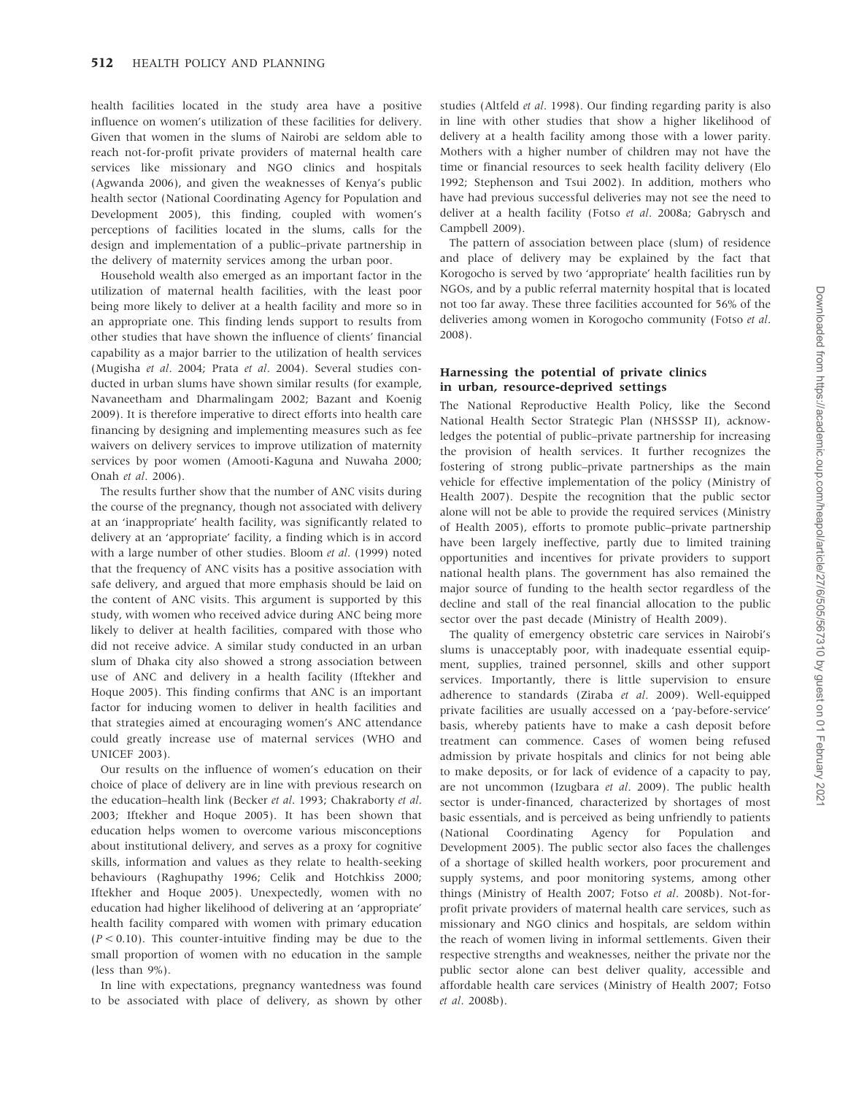health facilities located in the study area have a positive influence on women's utilization of these facilities for delivery. Given that women in the slums of Nairobi are seldom able to reach not-for-profit private providers of maternal health care services like missionary and NGO clinics and hospitals [\(Agwanda 2006\)](#page-8-0), and given the weaknesses of Kenya's public health sector ([National Coordinating Agency for Population and](#page-9-0) [Development 2005\)](#page-9-0), this finding, coupled with women's perceptions of facilities located in the slums, calls for the design and implementation of a public–private partnership in the delivery of maternity services among the urban poor.

Household wealth also emerged as an important factor in the utilization of maternal health facilities, with the least poor being more likely to deliver at a health facility and more so in an appropriate one. This finding lends support to results from other studies that have shown the influence of clients' financial capability as a major barrier to the utilization of health services [\(Mugisha](#page-9-0) et al. 2004; Prata et al[. 2004](#page-9-0)). Several studies conducted in urban slums have shown similar results (for example, [Navaneetham and Dharmalingam 2002;](#page-9-0) [Bazant and Koenig](#page-8-0) [2009](#page-8-0)). It is therefore imperative to direct efforts into health care financing by designing and implementing measures such as fee waivers on delivery services to improve utilization of maternity services by poor women [\(Amooti-Kaguna and Nuwaha 2000](#page-8-0); Onah et al[. 2006\)](#page-9-0).

The results further show that the number of ANC visits during the course of the pregnancy, though not associated with delivery at an 'inappropriate' health facility, was significantly related to delivery at an 'appropriate' facility, a finding which is in accord with a large number of other studies. Bloom et al[. \(1999\)](#page-8-0) noted that the frequency of ANC visits has a positive association with safe delivery, and argued that more emphasis should be laid on the content of ANC visits. This argument is supported by this study, with women who received advice during ANC being more likely to deliver at health facilities, compared with those who did not receive advice. A similar study conducted in an urban slum of Dhaka city also showed a strong association between use of ANC and delivery in a health facility [\(Iftekher and](#page-9-0) [Hoque 2005\)](#page-9-0). This finding confirms that ANC is an important factor for inducing women to deliver in health facilities and that strategies aimed at encouraging women's ANC attendance could greatly increase use of maternal services [\(WHO and](#page-9-0) [UNICEF 2003](#page-9-0)).

Our results on the influence of women's education on their choice of place of delivery are in line with previous research on the education–health link ([Becker](#page-8-0) et al. 1993; [Chakraborty](#page-9-0) et al. [2003](#page-9-0); [Iftekher and Hoque 2005](#page-9-0)). It has been shown that education helps women to overcome various misconceptions about institutional delivery, and serves as a proxy for cognitive skills, information and values as they relate to health-seeking behaviours ([Raghupathy 1996; Celik and Hotchkiss 2000](#page-9-0); [Iftekher and Hoque 2005](#page-9-0)). Unexpectedly, women with no education had higher likelihood of delivering at an 'appropriate' health facility compared with women with primary education  $(P < 0.10)$ . This counter-intuitive finding may be due to the small proportion of women with no education in the sample (less than 9%).

In line with expectations, pregnancy wantedness was found to be associated with place of delivery, as shown by other

studies [\(Altfeld](#page-8-0) et al. 1998). Our finding regarding parity is also in line with other studies that show a higher likelihood of delivery at a health facility among those with a lower parity. Mothers with a higher number of children may not have the time or financial resources to seek health facility delivery ([Elo](#page-9-0) [1992](#page-9-0); [Stephenson and Tsui 2002\)](#page-9-0). In addition, mothers who have had previous successful deliveries may not see the need to deliver at a health facility (Fotso et al[. 2008a](#page-9-0); [Gabrysch and](#page-9-0) [Campbell 2009\)](#page-9-0).

The pattern of association between place (slum) of residence and place of delivery may be explained by the fact that Korogocho is served by two 'appropriate' health facilities run by NGOs, and by a public referral maternity hospital that is located not too far away. These three facilities accounted for 56% of the deliveries among women in Korogocho community (Fotso et al. 2008).

## Harnessing the potential of private clinics in urban, resource-deprived settings

The National Reproductive Health Policy, like the Second National Health Sector Strategic Plan (NHSSSP II), acknowledges the potential of public–private partnership for increasing the provision of health services. It further recognizes the fostering of strong public–private partnerships as the main vehicle for effective implementation of the policy [\(Ministry of](#page-9-0) [Health 2007\)](#page-9-0). Despite the recognition that the public sector alone will not be able to provide the required services [\(Ministry](#page-9-0) [of Health 2005](#page-9-0)), efforts to promote public–private partnership have been largely ineffective, partly due to limited training opportunities and incentives for private providers to support national health plans. The government has also remained the major source of funding to the health sector regardless of the decline and stall of the real financial allocation to the public sector over the past decade [\(Ministry of Health 2009\)](#page-9-0).

The quality of emergency obstetric care services in Nairobi's slums is unacceptably poor, with inadequate essential equipment, supplies, trained personnel, skills and other support services. Importantly, there is little supervision to ensure adherence to standards (Ziraba et al[. 2009\)](#page-9-0). Well-equipped private facilities are usually accessed on a 'pay-before-service' basis, whereby patients have to make a cash deposit before treatment can commence. Cases of women being refused admission by private hospitals and clinics for not being able to make deposits, or for lack of evidence of a capacity to pay, are not uncommon ([Izugbara](#page-9-0) et al. 2009). The public health sector is under-financed, characterized by shortages of most basic essentials, and is perceived as being unfriendly to patients [\(National Coordinating Agency for Population and](#page-9-0) [Development 2005](#page-9-0)). The public sector also faces the challenges of a shortage of skilled health workers, poor procurement and supply systems, and poor monitoring systems, among other things ([Ministry of Health 2007;](#page-9-0) Fotso et al[. 2008b\)](#page-9-0). Not-forprofit private providers of maternal health care services, such as missionary and NGO clinics and hospitals, are seldom within the reach of women living in informal settlements. Given their respective strengths and weaknesses, neither the private nor the public sector alone can best deliver quality, accessible and affordable health care services ([Ministry of Health 2007; Fotso](#page-9-0) et al[. 2008b\)](#page-9-0).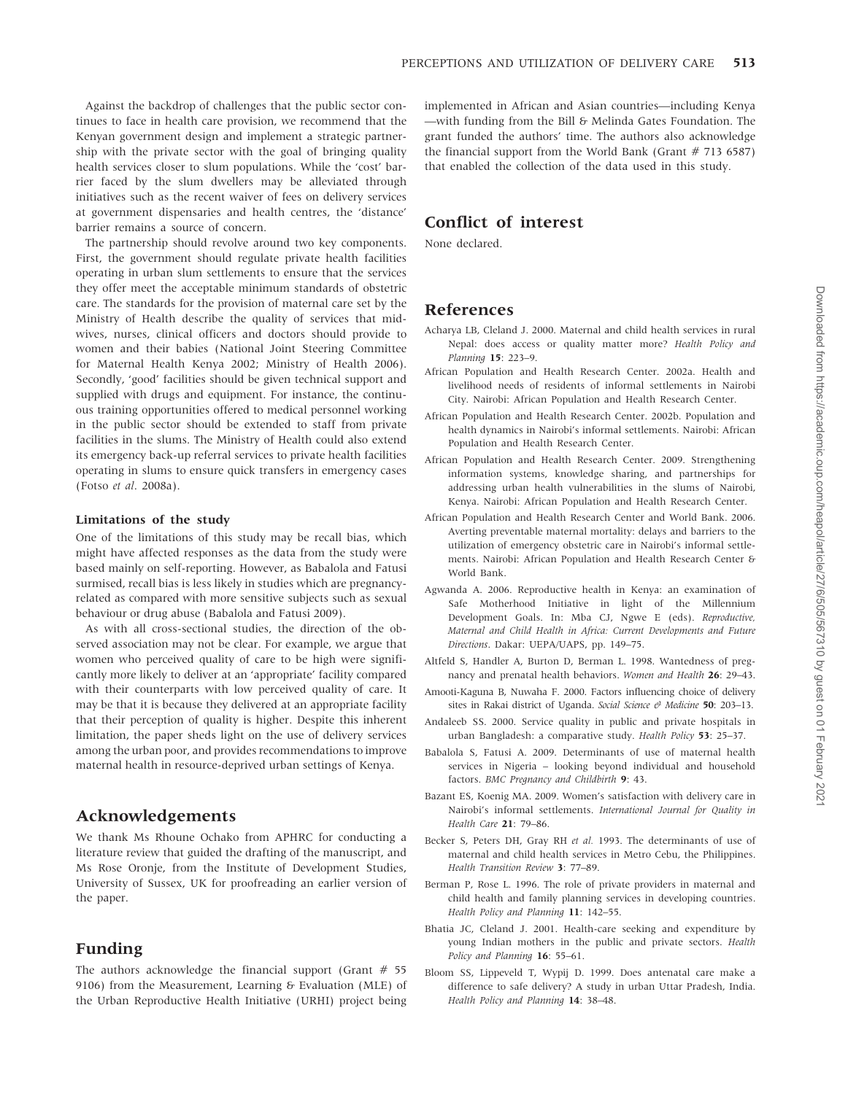<span id="page-8-0"></span>Against the backdrop of challenges that the public sector continues to face in health care provision, we recommend that the Kenyan government design and implement a strategic partnership with the private sector with the goal of bringing quality health services closer to slum populations. While the 'cost' barrier faced by the slum dwellers may be alleviated through initiatives such as the recent waiver of fees on delivery services at government dispensaries and health centres, the 'distance' barrier remains a source of concern.

The partnership should revolve around two key components. First, the government should regulate private health facilities operating in urban slum settlements to ensure that the services they offer meet the acceptable minimum standards of obstetric care. The standards for the provision of maternal care set by the Ministry of Health describe the quality of services that midwives, nurses, clinical officers and doctors should provide to women and their babies ([National Joint Steering Committee](#page-9-0) [for Maternal Health Kenya 2002; Ministry of Health 2006](#page-9-0)). Secondly, 'good' facilities should be given technical support and supplied with drugs and equipment. For instance, the continuous training opportunities offered to medical personnel working in the public sector should be extended to staff from private facilities in the slums. The Ministry of Health could also extend its emergency back-up referral services to private health facilities operating in slums to ensure quick transfers in emergency cases (Fotso et al[. 2008a](#page-9-0)).

### Limitations of the study

One of the limitations of this study may be recall bias, which might have affected responses as the data from the study were based mainly on self-reporting. However, as Babalola and Fatusi surmised, recall bias is less likely in studies which are pregnancyrelated as compared with more sensitive subjects such as sexual behaviour or drug abuse (Babalola and Fatusi 2009).

As with all cross-sectional studies, the direction of the observed association may not be clear. For example, we argue that women who perceived quality of care to be high were significantly more likely to deliver at an 'appropriate' facility compared with their counterparts with low perceived quality of care. It may be that it is because they delivered at an appropriate facility that their perception of quality is higher. Despite this inherent limitation, the paper sheds light on the use of delivery services among the urban poor, and provides recommendations to improve maternal health in resource-deprived urban settings of Kenya.

## Acknowledgements

We thank Ms Rhoune Ochako from APHRC for conducting a literature review that guided the drafting of the manuscript, and Ms Rose Oronje, from the Institute of Development Studies, University of Sussex, UK for proofreading an earlier version of the paper.

# Funding

The authors acknowledge the financial support (Grant  $# 55$ 9106) from the Measurement, Learning & Evaluation (MLE) of the Urban Reproductive Health Initiative (URHI) project being implemented in African and Asian countries—including Kenya —with funding from the Bill & Melinda Gates Foundation. The grant funded the authors' time. The authors also acknowledge the financial support from the World Bank (Grant # 713 6587) that enabled the collection of the data used in this study.

# Conflict of interest

None declared.

## References

- Acharya LB, Cleland J. 2000. Maternal and child health services in rural Nepal: does access or quality matter more? Health Policy and Planning 15: 223–9.
- African Population and Health Research Center. 2002a. Health and livelihood needs of residents of informal settlements in Nairobi City. Nairobi: African Population and Health Research Center.
- African Population and Health Research Center. 2002b. Population and health dynamics in Nairobi's informal settlements. Nairobi: African Population and Health Research Center.
- African Population and Health Research Center. 2009. Strengthening information systems, knowledge sharing, and partnerships for addressing urban health vulnerabilities in the slums of Nairobi, Kenya. Nairobi: African Population and Health Research Center.
- African Population and Health Research Center and World Bank. 2006. Averting preventable maternal mortality: delays and barriers to the utilization of emergency obstetric care in Nairobi's informal settlements. Nairobi: African Population and Health Research Center & World Bank.
- Agwanda A. 2006. Reproductive health in Kenya: an examination of Safe Motherhood Initiative in light of the Millennium Development Goals. In: Mba CJ, Ngwe E (eds). Reproductive, Maternal and Child Health in Africa: Current Developments and Future Directions. Dakar: UEPA/UAPS, pp. 149–75.
- Altfeld S, Handler A, Burton D, Berman L. 1998. Wantedness of pregnancy and prenatal health behaviors. Women and Health 26: 29–43.
- Amooti-Kaguna B, Nuwaha F. 2000. Factors influencing choice of delivery sites in Rakai district of Uganda. Social Science  $\theta$  Medicine 50: 203-13.
- Andaleeb SS. 2000. Service quality in public and private hospitals in urban Bangladesh: a comparative study. Health Policy 53: 25–37.
- Babalola S, Fatusi A. 2009. Determinants of use of maternal health services in Nigeria – looking beyond individual and household factors. BMC Pregnancy and Childbirth 9: 43.
- Bazant ES, Koenig MA. 2009. Women's satisfaction with delivery care in Nairobi's informal settlements. International Journal for Quality in Health Care 21: 79–86.
- Becker S, Peters DH, Gray RH et al. 1993. The determinants of use of maternal and child health services in Metro Cebu, the Philippines. Health Transition Review 3: 77–89.
- Berman P, Rose L. 1996. The role of private providers in maternal and child health and family planning services in developing countries. Health Policy and Planning 11: 142–55.
- Bhatia JC, Cleland J. 2001. Health-care seeking and expenditure by young Indian mothers in the public and private sectors. Health Policy and Planning 16: 55–61.
- Bloom SS, Lippeveld T, Wypij D. 1999. Does antenatal care make a difference to safe delivery? A study in urban Uttar Pradesh, India. Health Policy and Planning 14: 38–48.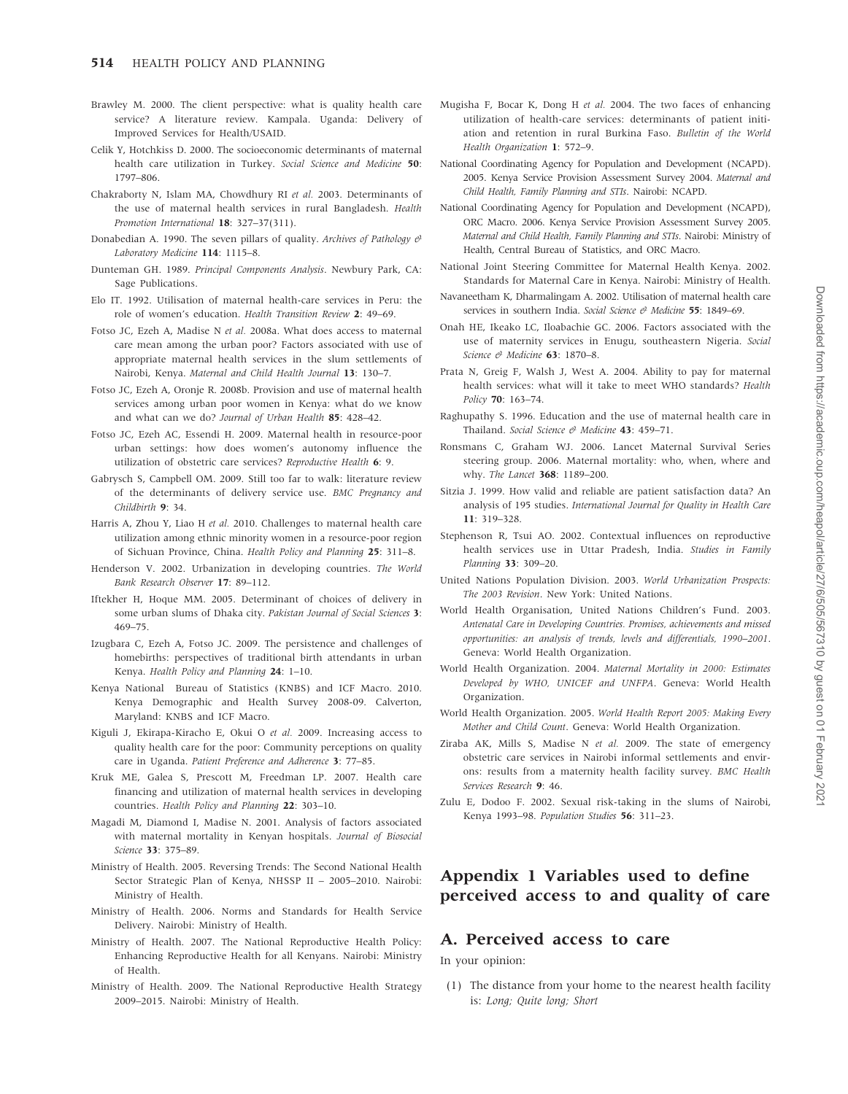- <span id="page-9-0"></span>Brawley M. 2000. The client perspective: what is quality health care service? A literature review. Kampala. Uganda: Delivery of Improved Services for Health/USAID.
- Celik Y, Hotchkiss D. 2000. The socioeconomic determinants of maternal health care utilization in Turkey. Social Science and Medicine 50: 1797–806.
- Chakraborty N, Islam MA, Chowdhury RI et al. 2003. Determinants of the use of maternal health services in rural Bangladesh. Health Promotion International 18: 327–37(311).
- Donabedian A. 1990. The seven pillars of quality. Archives of Pathology  $\vartheta$ Laboratory Medicine 114: 1115–8.
- Dunteman GH. 1989. Principal Components Analysis. Newbury Park, CA: Sage Publications.
- Elo IT. 1992. Utilisation of maternal health-care services in Peru: the role of women's education. Health Transition Review 2: 49–69.
- Fotso JC, Ezeh A, Madise N et al. 2008a. What does access to maternal care mean among the urban poor? Factors associated with use of appropriate maternal health services in the slum settlements of Nairobi, Kenya. Maternal and Child Health Journal 13: 130–7.
- Fotso JC, Ezeh A, Oronje R. 2008b. Provision and use of maternal health services among urban poor women in Kenya: what do we know and what can we do? Journal of Urban Health 85: 428–42.
- Fotso JC, Ezeh AC, Essendi H. 2009. Maternal health in resource-poor urban settings: how does women's autonomy influence the utilization of obstetric care services? Reproductive Health 6: 9.
- Gabrysch S, Campbell OM. 2009. Still too far to walk: literature review of the determinants of delivery service use. BMC Pregnancy and Childbirth 9: 34.
- Harris A, Zhou Y, Liao H et al. 2010. Challenges to maternal health care utilization among ethnic minority women in a resource-poor region of Sichuan Province, China. Health Policy and Planning 25: 311–8.
- Henderson V. 2002. Urbanization in developing countries. The World Bank Research Observer 17: 89–112.
- Iftekher H, Hoque MM. 2005. Determinant of choices of delivery in some urban slums of Dhaka city. Pakistan Journal of Social Sciences 3: 469–75.
- Izugbara C, Ezeh A, Fotso JC. 2009. The persistence and challenges of homebirths: perspectives of traditional birth attendants in urban Kenya. Health Policy and Planning 24: 1–10.
- Kenya National Bureau of Statistics (KNBS) and ICF Macro. 2010. Kenya Demographic and Health Survey 2008-09. Calverton, Maryland: KNBS and ICF Macro.
- Kiguli J, Ekirapa-Kiracho E, Okui O et al. 2009. Increasing access to quality health care for the poor: Community perceptions on quality care in Uganda. Patient Preference and Adherence 3: 77–85.
- Kruk ME, Galea S, Prescott M, Freedman LP. 2007. Health care financing and utilization of maternal health services in developing countries. Health Policy and Planning 22: 303–10.
- Magadi M, Diamond I, Madise N. 2001. Analysis of factors associated with maternal mortality in Kenyan hospitals. Journal of Biosocial Science 33: 375–89.
- Ministry of Health. 2005. Reversing Trends: The Second National Health Sector Strategic Plan of Kenya, NHSSP II – 2005–2010. Nairobi: Ministry of Health.
- Ministry of Health. 2006. Norms and Standards for Health Service Delivery. Nairobi: Ministry of Health.
- Ministry of Health. 2007. The National Reproductive Health Policy: Enhancing Reproductive Health for all Kenyans. Nairobi: Ministry of Health.
- Ministry of Health. 2009. The National Reproductive Health Strategy 2009–2015. Nairobi: Ministry of Health.
- Mugisha F, Bocar K, Dong H et al. 2004. The two faces of enhancing utilization of health-care services: determinants of patient initiation and retention in rural Burkina Faso. Bulletin of the World Health Organization 1: 572–9.
- National Coordinating Agency for Population and Development (NCAPD). 2005. Kenya Service Provision Assessment Survey 2004. Maternal and Child Health, Family Planning and STIs. Nairobi: NCAPD.
- National Coordinating Agency for Population and Development (NCAPD), ORC Macro. 2006. Kenya Service Provision Assessment Survey 2005. Maternal and Child Health, Family Planning and STIs. Nairobi: Ministry of Health, Central Bureau of Statistics, and ORC Macro.
- National Joint Steering Committee for Maternal Health Kenya. 2002. Standards for Maternal Care in Kenya. Nairobi: Ministry of Health.
- Navaneetham K, Dharmalingam A. 2002. Utilisation of maternal health care services in southern India. Social Science & Medicine 55: 1849-69.
- Onah HE, Ikeako LC, Iloabachie GC. 2006. Factors associated with the use of maternity services in Enugu, southeastern Nigeria. Social Science  $A$  Medicine 63: 1870–8.
- Prata N, Greig F, Walsh J, West A. 2004. Ability to pay for maternal health services: what will it take to meet WHO standards? Health Policy 70: 163–74.
- Raghupathy S. 1996. Education and the use of maternal health care in Thailand. Social Science  $\mathcal O$  Medicine 43: 459-71.
- Ronsmans C, Graham WJ. 2006. Lancet Maternal Survival Series steering group. 2006. Maternal mortality: who, when, where and why. The Lancet 368: 1189–200.
- Sitzia J. 1999. How valid and reliable are patient satisfaction data? An analysis of 195 studies. International Journal for Quality in Health Care 11: 319–328.
- Stephenson R, Tsui AO. 2002. Contextual influences on reproductive health services use in Uttar Pradesh, India. Studies in Family Planning 33: 309–20.
- United Nations Population Division. 2003. World Urbanization Prospects: The 2003 Revision. New York: United Nations.
- World Health Organisation, United Nations Children's Fund. 2003. Antenatal Care in Developing Countries. Promises, achievements and missed opportunities: an analysis of trends, levels and differentials, 1990–2001. Geneva: World Health Organization.
- World Health Organization. 2004. Maternal Mortality in 2000: Estimates Developed by WHO, UNICEF and UNFPA. Geneva: World Health Organization.
- World Health Organization. 2005. World Health Report 2005: Making Every Mother and Child Count. Geneva: World Health Organization.
- Ziraba AK, Mills S, Madise N et al. 2009. The state of emergency obstetric care services in Nairobi informal settlements and environs: results from a maternity health facility survey. BMC Health Services Research 9: 46.
- Zulu E, Dodoo F. 2002. Sexual risk-taking in the slums of Nairobi, Kenya 1993–98. Population Studies 56: 311–23.

# Appendix 1 Variables used to define perceived access to and quality of care

# A. Perceived access to care

In your opinion:

(1) The distance from your home to the nearest health facility is: Long; Quite long; Short